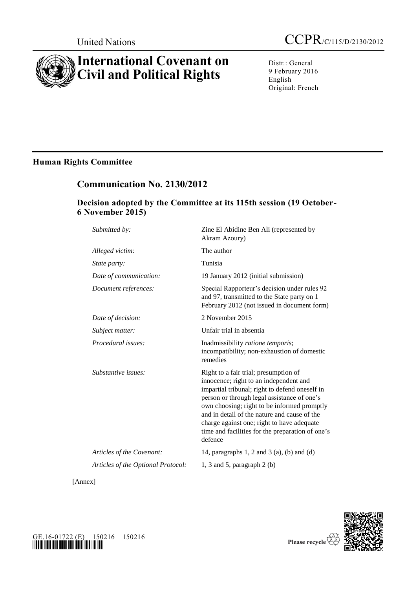# **International Covenant on Civil and Political Rights**

Distr.: General 9 February 2016 English Original: French

# **Human Rights Committee**

# **Communication No. 2130/2012**

# **Decision adopted by the Committee at its 115th session (19 October-6 November 2015)**

| Submitted by:                      | Zine El Abidine Ben Ali (represented by<br>Akram Azoury)                                                                                                                                                                                                                                                                                                                                     |
|------------------------------------|----------------------------------------------------------------------------------------------------------------------------------------------------------------------------------------------------------------------------------------------------------------------------------------------------------------------------------------------------------------------------------------------|
| Alleged victim:                    | The author                                                                                                                                                                                                                                                                                                                                                                                   |
| State party:                       | Tunisia                                                                                                                                                                                                                                                                                                                                                                                      |
| Date of communication:             | 19 January 2012 (initial submission)                                                                                                                                                                                                                                                                                                                                                         |
| Document references:               | Special Rapporteur's decision under rules 92<br>and 97, transmitted to the State party on 1<br>February 2012 (not issued in document form)                                                                                                                                                                                                                                                   |
| Date of decision:                  | 2 November 2015                                                                                                                                                                                                                                                                                                                                                                              |
| Subject matter:                    | Unfair trial in absentia                                                                                                                                                                                                                                                                                                                                                                     |
| Procedural issues:                 | Inadmissibility ratione temporis;<br>incompatibility; non-exhaustion of domestic<br>remedies                                                                                                                                                                                                                                                                                                 |
| Substantive issues:                | Right to a fair trial; presumption of<br>innocence; right to an independent and<br>impartial tribunal; right to defend oneself in<br>person or through legal assistance of one's<br>own choosing; right to be informed promptly<br>and in detail of the nature and cause of the<br>charge against one; right to have adequate<br>time and facilities for the preparation of one's<br>defence |
| Articles of the Covenant:          | 14, paragraphs 1, 2 and 3 (a), (b) and (d)                                                                                                                                                                                                                                                                                                                                                   |
| Articles of the Optional Protocol: | 1, 3 and 5, paragraph $2$ (b)                                                                                                                                                                                                                                                                                                                                                                |
|                                    |                                                                                                                                                                                                                                                                                                                                                                                              |

[Annex]



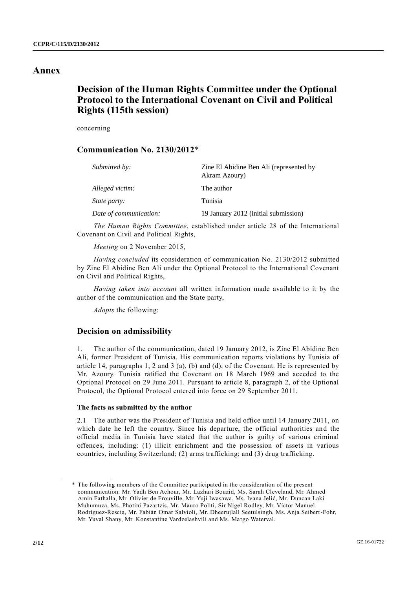## **Annex**

# **Decision of the Human Rights Committee under the Optional Protocol to the International Covenant on Civil and Political Rights (115th session)**

concerning

## **Communication No. 2130/2012**\*

| Submitted by:          | Zine El Abidine Ben Ali (represented by<br>Akram Azoury) |
|------------------------|----------------------------------------------------------|
| Alleged victim:        | The author                                               |
| <i>State party:</i>    | Tunisia                                                  |
| Date of communication: | 19 January 2012 (initial submission)                     |

*The Human Rights Committee*, established under article 28 of the International Covenant on Civil and Political Rights,

*Meeting* on 2 November 2015,

*Having concluded* its consideration of communication No. 2130/2012 submitted by Zine El Abidine Ben Ali under the Optional Protocol to the International Covenant on Civil and Political Rights,

*Having taken into account* all written information made available to it by the author of the communication and the State party,

*Adopts* the following:

## **Decision on admissibility**

1. The author of the communication, dated 19 January 2012, is Zine El Abidine Ben Ali, former President of Tunisia. His communication reports violations by Tunisia of article 14, paragraphs 1, 2 and 3 (a), (b) and (d), of the Covenant. He is represented by Mr. Azoury. Tunisia ratified the Covenant on 18 March 1969 and acceded to the Optional Protocol on 29 June 2011. Pursuant to article 8, paragraph 2, of the Optional Protocol, the Optional Protocol entered into force on 29 September 2011.

### **The facts as submitted by the author**

2.1 The author was the President of Tunisia and held office until 14 January 2011, on which date he left the country. Since his departure, the official authorities and the official media in Tunisia have stated that the author is guilty of various criminal offences, including: (1) illicit enrichment and the possession of assets in various countries, including Switzerland; (2) arms trafficking; and (3) drug trafficking.

<sup>\*</sup> The following members of the Committee participated in the consideration of the present communication: Mr. Yadh Ben Achour, Mr. Lazhari Bouzid, Ms. Sarah Cleveland, Mr. Ahmed Amin Fathalla, Mr. Olivier de Frouville, Mr. Yuji Iwasawa, Ms. Ivana Jelić, Mr. Duncan Laki Muhumuza, Ms. Photini Pazartzis, Mr. Mauro Politi, Sir Nigel Rodley, Mr. Víctor Manuel Rodríguez-Rescia, Mr. Fabián Omar Salvioli, Mr. Dheerujlall Seetulsingh, Ms. Anja Seibert-Fohr, Mr. Yuval Shany, Mr. Konstantine Vardzelashvili and Ms. Margo Waterval.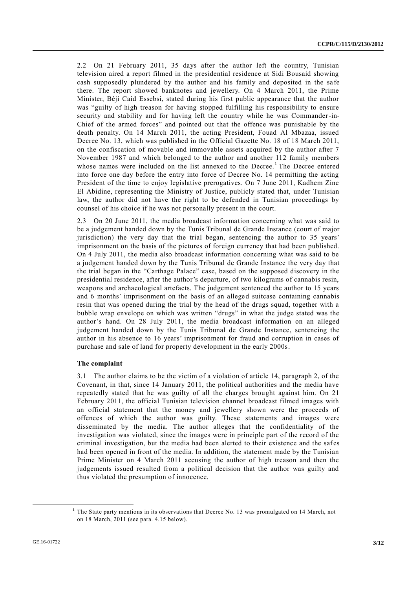2.2 On 21 February 2011, 35 days after the author left the country, Tunisian television aired a report filmed in the presidential residence at Sidi Bousaid showing cash supposedly plundered by the author and his family and deposited in the sa fe there. The report showed banknotes and jewellery. On 4 March 2011, the Prime Minister, Béji Caid Essebsi, stated during his first public appearance that the author was "guilty of high treason for having stopped fulfilling his responsibility to ensure security and stability and for having left the country while he was Commander-in-Chief of the armed forces" and pointed out that the offence was punishable by the death penalty. On 14 March 2011, the acting President, Fouad Al Mbazaa, issued Decree No. 13, which was published in the Official Gazette No. 18 of 18 March 2011, on the confiscation of movable and immovable assets acquired by the author after 7 November 1987 and which belonged to the author and another 112 family members whose names were included on the list annexed to the Decree.<sup>1</sup> The Decree entered into force one day before the entry into force of Decree No. 14 permitting the acting President of the time to enjoy legislative prerogatives. On 7 June 2011, Kadhem Zine El Abidine, representing the Ministry of Justice, publicly stated that, under Tunisian law, the author did not have the right to be defended in Tunisian proceedings by counsel of his choice if he was not personally present in the court.

2.3 On 20 June 2011, the media broadcast information concerning what was said to be a judgement handed down by the Tunis Tribunal de Grande Instance (court of major jurisdiction) the very day that the trial began, sentencing the author to 35 years' imprisonment on the basis of the pictures of foreign currency that had been published. On 4 July 2011, the media also broadcast information concerning what was said to be a judgement handed down by the Tunis Tribunal de Grande Instance the very day that the trial began in the "Carthage Palace" case, based on the supposed discovery in the presidential residence, after the author's departure, of two kilograms of cannabis resin, weapons and archaeological artefacts. The judgement sentenced the author to 15 years and 6 months' imprisonment on the basis of an alleged suitcase containing cannabis resin that was opened during the trial by the head of the drugs squad, together with a bubble wrap envelope on which was written "drugs" in what the judge stated was the author's hand. On 28 July 2011, the media broadcast information on an alleged judgement handed down by the Tunis Tribunal de Grande Instance, sentencing the author in his absence to 16 years' imprisonment for fraud and corruption in cases of purchase and sale of land for property development in the early 2000s.

## **The complaint**

3.1 The author claims to be the victim of a violation of article 14, paragraph 2, of the Covenant, in that, since 14 January 2011, the political authorities and the media have repeatedly stated that he was guilty of all the charges brought against him. On 21 February 2011, the official Tunisian television channel broadcast filmed images with an official statement that the money and jewellery shown were the proceeds of offences of which the author was guilty. These statements and images were disseminated by the media. The author alleges that the confidentiality of the investigation was violated, since the images were in principle part of the record of the criminal investigation, but the media had been alerted to their existence and the safes had been opened in front of the media. In addition, the statement made by the Tunisian Prime Minister on 4 March 2011 accusing the author of high treason and then the judgements issued resulted from a political decision that the author was guilty and thus violated the presumption of innocence.

<sup>&</sup>lt;sup>1</sup> The State party mentions in its observations that Decree No. 13 was promulgated on 14 March, not on 18 March, 2011 (see para. 4.15 below).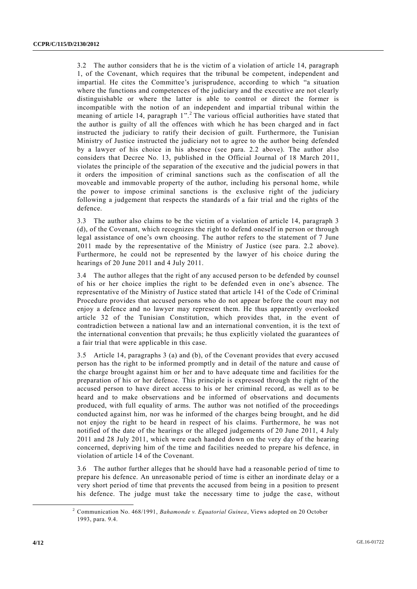3.2 The author considers that he is the victim of a violation of article 14, paragraph 1, of the Covenant, which requires that the tribunal be competent, independent and impartial. He cites the Committee's jurisprudence, according to which "a situation where the functions and competences of the judiciary and the executive are not clearly distinguishable or where the latter is able to control or direct the former is incompatible with the notion of an independent and impartial tribunal within the meaning of article 14, paragraph 1".<sup>2</sup> The various official authorities have stated that the author is guilty of all the offences with which he has been charged and in fact instructed the judiciary to ratify their decision of guilt. Furthermore, the Tunisian Ministry of Justice instructed the judiciary not to agree to the author being defended by a lawyer of his choice in his absence (see para. 2.2 above). The author also considers that Decree No. 13, published in the Official Journal of 18 March 2011, violates the principle of the separation of the executive and the judicial powers in that it orders the imposition of criminal sanctions such as the confiscation of all the moveable and immovable property of the author, including his personal home, while the power to impose criminal sanctions is the exclusive right of the judiciary following a judgement that respects the standards of a fair trial and the rights of the defence.

3.3 The author also claims to be the victim of a violation of article 14, paragraph 3 (d), of the Covenant, which recognizes the right to defend oneself in person or through legal assistance of one's own choosing. The author refers to the statement of 7 June 2011 made by the representative of the Ministry of Justice (see para. 2.2 above). Furthermore, he could not be represented by the lawyer of his choice during the hearings of 20 June 2011 and 4 July 2011.

3.4 The author alleges that the right of any accused person to be defended by counsel of his or her choice implies the right to be defended even in one's absence. The representative of the Ministry of Justice stated that article 141 of the Code of Criminal Procedure provides that accused persons who do not appear before the court may not enjoy a defence and no lawyer may represent them. He thus apparently overlooked article 32 of the Tunisian Constitution, which provides that, in the event of contradiction between a national law and an international convention, it is the text of the international convention that prevails; he thus explicitly violated the guarantees of a fair trial that were applicable in this case.

3.5 Article 14, paragraphs 3 (a) and (b), of the Covenant provides that every accused person has the right to be informed promptly and in detail of the nature and cause of the charge brought against him or her and to have adequate time and facilities for the preparation of his or her defence. This principle is expressed through the right of the accused person to have direct access to his or her criminal record, as well as to be heard and to make observations and be informed of observations and documents produced, with full equality of arms. The author was not notified of the proceedings conducted against him, nor was he informed of the charges being brought, and he did not enjoy the right to be heard in respect of his claims. Furthermore, he was not notified of the date of the hearings or the alleged judgements of 20 June 2011, 4 July 2011 and 28 July 2011, which were each handed down on the very day of the hearing concerned, depriving him of the time and facilities needed to prepare his defence, in violation of article 14 of the Covenant.

3.6 The author further alleges that he should have had a reasonable perio d of time to prepare his defence. An unreasonable period of time is either an inordinate delay or a very short period of time that prevents the accused from being in a position to present his defence. The judge must take the necessary time to judge the case, without

<sup>2</sup> Communication No. 468/1991, *Bahamonde v. Equatorial Guinea*, Views adopted on 20 October 1993, para. 9.4.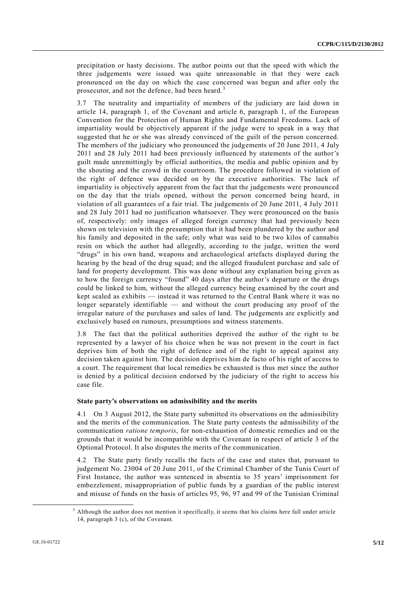precipitation or hasty decisions. The author points out that the speed with which the three judgements were issued was quite unreasonable in that they were each pronounced on the day on which the case concerned was begun and after only the prosecutor, and not the defence, had been heard.<sup>3</sup>

3.7 The neutrality and impartiality of members of the judiciary are laid down in article 14, paragraph 1, of the Covenant and article 6, paragraph 1, of the European Convention for the Protection of Human Rights and Fundamental Freedoms. Lack of impartiality would be objectively apparent if the judge were to speak in a way that suggested that he or she was already convinced of the guilt of the person concerned. The members of the judiciary who pronounced the judgements of 20 June 2011, 4 July 2011 and 28 July 2011 had been previously influenced by statements of the author's guilt made unremittingly by official authorities, the media and public opinion and by the shouting and the crowd in the courtroom. The procedure followed in violation of the right of defence was decided on by the executive authorities. The lack of impartiality is objectively apparent from the fact that the judgements were pronounced on the day that the trials opened, without the person concerned being heard, in violation of all guarantees of a fair trial. The judgements of 20 June 2011, 4 July 2011 and 28 July 2011 had no justification whatsoever. They were pronounced on the basis of, respectively: only images of alleged foreign currency that had previously been shown on television with the presumption that it had been plundered by the author and his family and deposited in the safe; only what was said to be two kilos of cannabis resin on which the author had allegedly, according to the judge, written the word "drugs" in his own hand, weapons and archaeological artefacts displayed during the hearing by the head of the drug squad; and the alleged fraudulent purchase and sale of land for property development. This was done without any explanation being given as to how the foreign currency "found" 40 days after the author's departure or the drugs could be linked to him, without the alleged currency being examined by the court and kept sealed as exhibits — instead it was returned to the Central Bank where it was no longer separately identifiable — and without the court producing any proof of the irregular nature of the purchases and sales of land. The judgements are explicitly and exclusively based on rumours, presumptions and witness statements.

3.8 The fact that the political authorities deprived the author of the right to be represented by a lawyer of his choice when he was not present in the court in fact deprives him of both the right of defence and of the right to appeal against any decision taken against him. The decision deprives him de facto of his right of access to a court. The requirement that local remedies be exhausted is thus met since the author is denied by a political decision endorsed by the judiciary of the right to access his case file.

#### **State party's observations on admissibility and the merits**

4.1 On 3 August 2012, the State party submitted its observations on the admissibility and the merits of the communication. The State party contests the admissibility of the communication *ratione temporis*, for non-exhaustion of domestic remedies and on the grounds that it would be incompatible with the Covenant in respect of article 3 of the Optional Protocol. It also disputes the merits of the communication.

4.2 The State party firstly recalls the facts of the case and states that, pursuant to judgement No. 23004 of 20 June 2011, of the Criminal Chamber of the Tunis Court of First Instance, the author was sentenced in absentia to 35 years' imprisonment for embezzlement, misappropriation of public funds by a guardian of the public interest and misuse of funds on the basis of articles 95, 96, 97 and 99 of the Tunisian Criminal

<sup>3</sup> Although the author does not mention it specifically, it seems that his claims here fall under article 14, paragraph 3 (c), of the Covenant.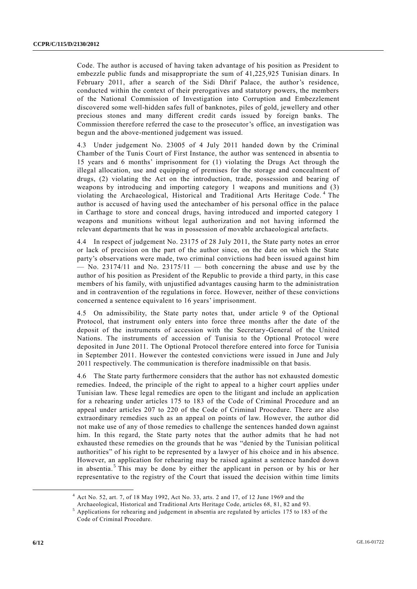Code. The author is accused of having taken advantage of his position as President to embezzle public funds and misappropriate the sum of 41,225,925 Tunisian dinars. In February 2011, after a search of the Sidi Dhrif Palace, the author's residence, conducted within the context of their prerogatives and statutory powers, the members of the National Commission of Investigation into Corruption and Embezzlement discovered some well-hidden safes full of banknotes, piles of gold, jewellery and other precious stones and many different credit cards issued by foreign banks. The Commission therefore referred the case to the prosecutor's office, an investigation was begun and the above-mentioned judgement was issued.

4.3 Under judgement No. 23005 of 4 July 2011 handed down by the Criminal Chamber of the Tunis Court of First Instance, the author was sentenced in absentia to 15 years and 6 months' imprisonment for (1) violating the Drugs Act through the illegal allocation, use and equipping of premises for the storage and concealment of drugs, (2) violating the Act on the introduction, trade, possession and bearing of weapons by introducing and importing category 1 weapons and munitions and (3) violating the Archaeological, Historical and Traditional Arts Heritage Code. <sup>4</sup> The author is accused of having used the antechamber of his personal office in the palace in Carthage to store and conceal drugs, having introduced and imported category 1 weapons and munitions without legal authorization and not having informed the relevant departments that he was in possession of movable archaeological artefacts.

4.4 In respect of judgement No. 23175 of 28 July 2011, the State party notes an error or lack of precision on the part of the author since, on the date on which the State party's observations were made, two criminal convictions had been issued against him  $-$  No. 23174/11 and No. 23175/11  $-$  both concerning the abuse and use by the author of his position as President of the Republic to provide a third party, in this case members of his family, with unjustified advantages causing harm to the administration and in contravention of the regulations in force. However, neither of these convictions concerned a sentence equivalent to 16 years' imprisonment.

4.5 On admissibility, the State party notes that, under article 9 of the Optional Protocol, that instrument only enters into force three months after the date of the deposit of the instruments of accession with the Secretary-General of the United Nations. The instruments of accession of Tunisia to the Optional Protocol were deposited in June 2011. The Optional Protocol therefore entered into force for Tunisia in September 2011. However the contested convictions were issued in June and July 2011 respectively. The communication is therefore inadmissible on that basis.

4.6 The State party furthermore considers that the author has not exhausted domestic remedies. Indeed, the principle of the right to appeal to a higher court applies under Tunisian law. These legal remedies are open to the litigant and include an application for a rehearing under articles 175 to 183 of the Code of Criminal Procedure and an appeal under articles 207 to 220 of the Code of Criminal Procedure. There are also extraordinary remedies such as an appeal on points of law. However, the author did not make use of any of those remedies to challenge the sentences handed down against him. In this regard, the State party notes that the author admits that he had not exhausted these remedies on the grounds that he was "denied by the Tunisian political authorities" of his right to be represented by a lawyer of his choice and in his absence. However, an application for rehearing may be raised against a sentence handed down in absentia.<sup>5</sup> This may be done by either the applicant in person or by his or her representative to the registry of the Court that issued the decision within time limits

<sup>4</sup> Act No. 52, art. 7, of 18 May 1992, Act No. 33, arts. 2 and 17, of 12 June 1969 and the

Archaeological, Historical and Traditional Arts Heritage Code, articles 68, 81, 82 and 93.

<sup>5</sup> Applications for rehearing and judgement in absentia are regulated by articles 175 to 183 of the Code of Criminal Procedure.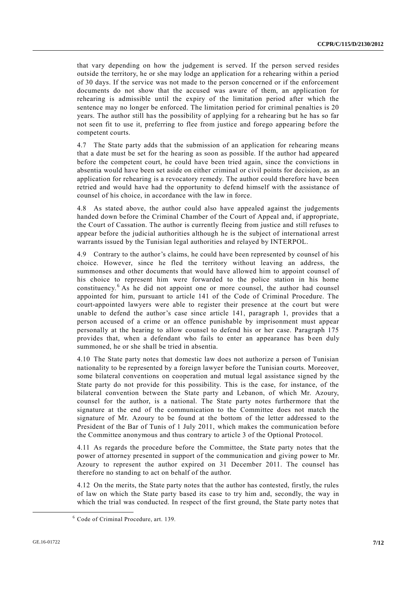that vary depending on how the judgement is served. If the person served resides outside the territory, he or she may lodge an application for a rehearing within a period of 30 days. If the service was not made to the person concerned or if the enforcement documents do not show that the accused was aware of them, an application for rehearing is admissible until the expiry of the limitation period after which the sentence may no longer be enforced. The limitation period for criminal penalties is 20 years. The author still has the possibility of applying for a rehearing but he has so far not seen fit to use it, preferring to flee from justice and forego appearing before the competent courts.

4.7 The State party adds that the submission of an application for rehearing means that a date must be set for the hearing as soon as possible. If the author had appeared before the competent court, he could have been tried again, since the convictions in absentia would have been set aside on either criminal or civil points for decision, as an application for rehearing is a revocatory remedy. The author could therefore have been retried and would have had the opportunity to defend himself with the assistance of counsel of his choice, in accordance with the law in force.

4.8 As stated above, the author could also have appealed against the judgements handed down before the Criminal Chamber of the Court of Appeal and, if appropriate, the Court of Cassation. The author is currently fleeing from justice and still refuses to appear before the judicial authorities although he is the subject of international arrest warrants issued by the Tunisian legal authorities and relayed by INTERPOL.

4.9 Contrary to the author's claims, he could have been represented by counsel of his choice. However, since he fled the territory without leaving an address, the summonses and other documents that would have allowed him to appoint counsel of his choice to represent him were forwarded to the police station in his home constituency. <sup>6</sup> As he did not appoint one or more counsel, the author had counsel appointed for him, pursuant to article 141 of the Code of Criminal Procedure. The court-appointed lawyers were able to register their presence at the court but were unable to defend the author's case since article 141, paragraph 1, provides that a person accused of a crime or an offence punishable by imprisonment must appear personally at the hearing to allow counsel to defend his or her case. Paragraph 175 provides that, when a defendant who fails to enter an appearance has been duly summoned, he or she shall be tried in absentia.

4.10 The State party notes that domestic law does not authorize a person of Tunisian nationality to be represented by a foreign lawyer before the Tunisian courts. Moreover, some bilateral conventions on cooperation and mutual legal assistance signed by the State party do not provide for this possibility. This is the case, for instance, of the bilateral convention between the State party and Lebanon, of which Mr. Azoury, counsel for the author, is a national. The State party notes furthermore that the signature at the end of the communication to the Committee does not match the signature of Mr. Azoury to be found at the bottom of the letter addressed to the President of the Bar of Tunis of 1 July 2011, which makes the communication before the Committee anonymous and thus contrary to article 3 of the Optional Protocol.

4.11 As regards the procedure before the Committee, the State party notes that the power of attorney presented in support of the communication and giving power to Mr. Azoury to represent the author expired on 31 December 2011. The counsel has therefore no standing to act on behalf of the author.

4.12 On the merits, the State party notes that the author has contested, firstly, the rules of law on which the State party based its case to try him and, secondly, the way in which the trial was conducted. In respect of the first ground, the State party notes that

<sup>6</sup> Code of Criminal Procedure, art. 139.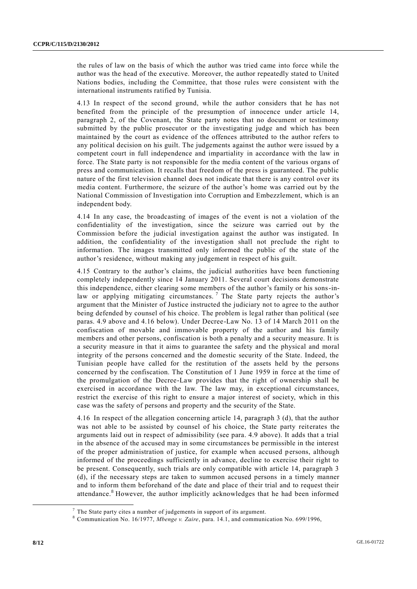the rules of law on the basis of which the author was tried came into force while the author was the head of the executive. Moreover, the author repeatedly stated to United Nations bodies, including the Committee, that those rules were consistent with the international instruments ratified by Tunisia.

4.13 In respect of the second ground, while the author considers that he has not benefited from the principle of the presumption of innocence under article 14, paragraph 2, of the Covenant, the State party notes that no document or testimony submitted by the public prosecutor or the investigating judge and which has been maintained by the court as evidence of the offences attributed to the author refers to any political decision on his guilt. The judgements against the author were issued by a competent court in full independence and impartiality in accordance with the law in force. The State party is not responsible for the media content of the various organs of press and communication. It recalls that freedom of the press is guaranteed. The public nature of the first television channel does not indicate that there is any control over its media content. Furthermore, the seizure of the author's home was carried out by the National Commission of Investigation into Corruption and Embezzlement, which is an independent body.

4.14 In any case, the broadcasting of images of the event is not a violation of the confidentiality of the investigation, since the seizure was carried out by the Commission before the judicial investigation against the author was instigated. In addition, the confidentiality of the investigation shall not preclude the right to information. The images transmitted only informed the public of the state of the author's residence, without making any judgement in respect of his guilt.

4.15 Contrary to the author's claims, the judicial authorities have been functioning completely independently since 14 January 2011. Several court decisions demonstrate this independence, either clearing some members of the author's family or his sons-inlaw or applying mitigating circumstances.<sup>7</sup> The State party rejects the author's argument that the Minister of Justice instructed the judiciary not to agree to the author being defended by counsel of his choice. The problem is legal rather than political (see paras. 4.9 above and 4.16 below). Under Decree-Law No. 13 of 14 March 2011 on the confiscation of movable and immovable property of the author and his family members and other persons, confiscation is both a penalty and a security measure. It is a security measure in that it aims to guarantee the safety and the physical and moral integrity of the persons concerned and the domestic security of the State. Indeed, the Tunisian people have called for the restitution of the assets held by the persons concerned by the confiscation. The Constitution of 1 June 1959 in force at the time of the promulgation of the Decree-Law provides that the right of ownership shall be exercised in accordance with the law. The law may, in exceptional circumstances, restrict the exercise of this right to ensure a major interest of society, which in this case was the safety of persons and property and the security of the State.

4.16 In respect of the allegation concerning article 14, paragraph 3 (d), that the author was not able to be assisted by counsel of his choice, the State party reiterates the arguments laid out in respect of admissibility (see para. 4.9 above). It adds that a trial in the absence of the accused may in some circumstances be permissible in the interest of the proper administration of justice, for example when accused persons, although informed of the proceedings sufficiently in advance, decline to exercise their right to be present. Consequently, such trials are only compatible with article 14, paragraph 3 (d), if the necessary steps are taken to summon accused persons in a timely manner and to inform them beforehand of the date and place of their trial and to request their attendance.<sup>8</sup> However, the author implicitly acknowledges that he had been informed

 $7$  The State party cites a number of judgements in support of its argument.

<sup>8</sup> Communication No. 16/1977, *Mbenge v. Zaire*, para. 14.1, and communication No. 699/1996,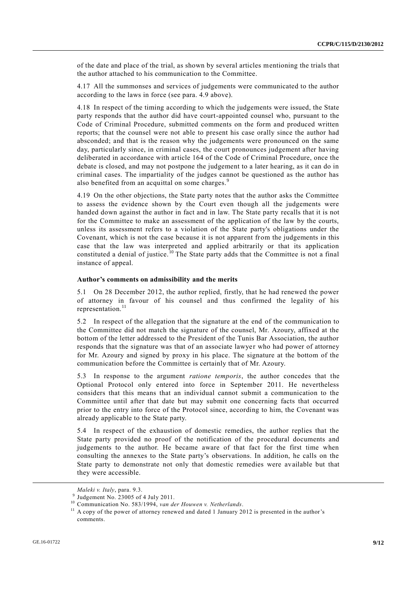of the date and place of the trial, as shown by several articles mentioning the trials that the author attached to his communication to the Committee.

4.17 All the summonses and services of judgements were communicated to the author according to the laws in force (see para. 4.9 above).

4.18 In respect of the timing according to which the judgements were issued, the State party responds that the author did have court-appointed counsel who, pursuant to the Code of Criminal Procedure, submitted comments on the form and produced written reports; that the counsel were not able to present his case orally since the author had absconded; and that is the reason why the judgements were pronounced on the same day, particularly since, in criminal cases, the court pronounces judgement after having deliberated in accordance with article 164 of the Code of Criminal Procedure, once the debate is closed, and may not postpone the judgement to a later hearing, as it can do in criminal cases. The impartiality of the judges cannot be questioned as the author has also benefited from an acquittal on some charges.<sup>9</sup>

4.19 On the other objections, the State party notes that the author asks the Committee to assess the evidence shown by the Court even though all the judgements were handed down against the author in fact and in law. The State party recalls that it is not for the Committee to make an assessment of the application of the law by the courts, unless its assessment refers to a violation of the State party's obligations under the Covenant, which is not the case because it is not apparent from the judgements in this case that the law was interpreted and applied arbitrarily or that its application constituted a denial of justice.<sup>10</sup> The State party adds that the Committee is not a final instance of appeal.

### **Author's comments on admissibility and the merits**

5.1 On 28 December 2012, the author replied, firstly, that he had renewed the power of attorney in favour of his counsel and thus confirmed the legality of his representation.<sup>11</sup>

5.2 In respect of the allegation that the signature at the end of the communication to the Committee did not match the signature of the counsel, Mr. Azoury, affixed at the bottom of the letter addressed to the President of the Tunis Bar Association, the author responds that the signature was that of an associate lawyer who had power of attorney for Mr. Azoury and signed by proxy in his place. The signature at the bottom of the communication before the Committee is certainly that of Mr. Azoury.

5.3 In response to the argument *ratione temporis*, the author concedes that the Optional Protocol only entered into force in September 2011. He nevertheless considers that this means that an individual cannot submit a communication to the Committee until after that date but may submit one concerning facts that occurred prior to the entry into force of the Protocol since, according to him, the Covenant was already applicable to the State party.

5.4 In respect of the exhaustion of domestic remedies, the author replies that the State party provided no proof of the notification of the procedural documents and judgements to the author. He became aware of that fact for the first time when consulting the annexes to the State party's observations. In addition, he calls on the State party to demonstrate not only that domestic remedies were available but that they were accessible.

-

*Maleki v. Italy*, para. 9.3.

<sup>9</sup> Judgement No. 23005 of 4 July 2011.

<sup>10</sup> Communication No. 583/1994, *van der Houwen v. Netherlands*.

<sup>&</sup>lt;sup>11</sup> A copy of the power of attorney renewed and dated 1 January 2012 is presented in the author's comments.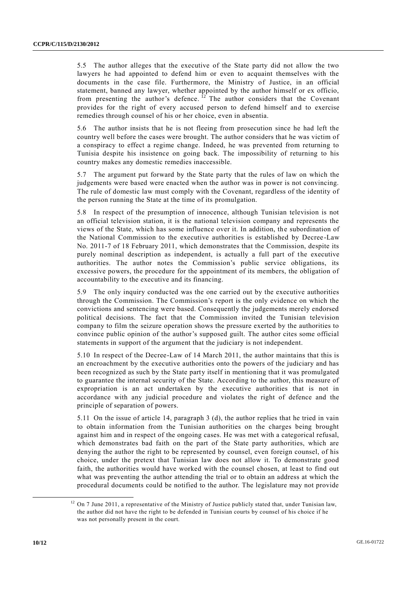5.5 The author alleges that the executive of the State party did not allow the two lawyers he had appointed to defend him or even to acquaint themselves with the documents in the case file. Furthermore, the Ministry of Justice, in an official statement, banned any lawyer, whether appointed by the author himself or ex officio, from presenting the author's defence.  $^{12}$  The author considers that the Covenant provides for the right of every accused person to defend himself and to exercise remedies through counsel of his or her choice, even in absentia.

5.6 The author insists that he is not fleeing from prosecution since he had left the country well before the cases were brought. The author considers that he was victim of a conspiracy to effect a regime change. Indeed, he was prevented from returning to Tunisia despite his insistence on going back. The impossibility of returning to his country makes any domestic remedies inaccessible.

5.7 The argument put forward by the State party that the rules of law on which the judgements were based were enacted when the author was in power is not convincing. The rule of domestic law must comply with the Covenant, regardless of the identity of the person running the State at the time of its promulgation.

5.8 In respect of the presumption of innocence, although Tunisian television is not an official television station, it is the national television company and represents the views of the State, which has some influence over it. In addition, the subordination of the National Commission to the executive authorities is established by Decree -Law No. 2011-7 of 18 February 2011, which demonstrates that the Commission, despite its purely nominal description as independent, is actually a full part of the executive authorities. The author notes the Commission's public service obligations, its excessive powers, the procedure for the appointment of its members, the obligation of accountability to the executive and its financing.

5.9 The only inquiry conducted was the one carried out by the executive authorities through the Commission. The Commission's report is the only evidence on which the convictions and sentencing were based. Consequently the judgements merely endorsed political decisions. The fact that the Commission invited the Tunisian television company to film the seizure operation shows the pressure exerted by the authorities to convince public opinion of the author's supposed guilt. The author cites some official statements in support of the argument that the judiciary is not independent.

5.10 In respect of the Decree-Law of 14 March 2011, the author maintains that this is an encroachment by the executive authorities onto the powers of the judiciary and has been recognized as such by the State party itself in mentioning that it was promulgated to guarantee the internal security of the State. According to the author, this measure of expropriation is an act undertaken by the executive authorities that is not in accordance with any judicial procedure and violates the right of defence and the principle of separation of powers.

5.11 On the issue of article 14, paragraph 3 (d), the author replies that he tried in vain to obtain information from the Tunisian authorities on the charges being brought against him and in respect of the ongoing cases. He was met with a categorical refusal, which demonstrates bad faith on the part of the State party authorities, which are denying the author the right to be represented by counsel, even foreign counsel, of his choice, under the pretext that Tunisian law does not allow it. To demonstrate good faith, the authorities would have worked with the counsel chosen, at least to find out what was preventing the author attending the trial or to obtain an address at which the procedural documents could be notified to the author. The legislature may not provide

<sup>&</sup>lt;sup>12</sup> On 7 June 2011, a representative of the Ministry of Justice publicly stated that, under Tunisian law, the author did not have the right to be defended in Tunisian courts by counsel of his choice if he was not personally present in the court.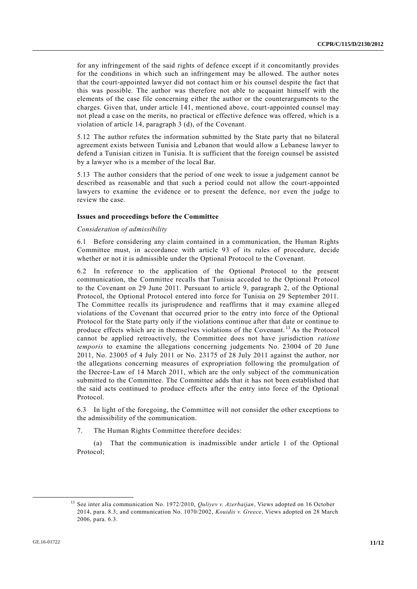for any infringement of the said rights of defence except if it concomitantly provides for the conditions in which such an infringement may be allowed. The author notes that the court-appointed lawyer did not contact him or his counsel despite the fact that this was possible. The author was therefore not able to acquaint himself with the elements of the case file concerning either the author or the counterarguments to the charges. Given that, under article 141, mentioned above, court-appointed counsel may not plead a case on the merits, no practical or effective defence was offered, which is a violation of article 14, paragraph 3 (d), of the Covenant.

5.12 The author refutes the information submitted by the State party that no bilateral agreement exists between Tunisia and Lebanon that would allow a Lebanese lawyer to defend a Tunisian citizen in Tunisia. It is sufficient that the foreign counsel be assisted by a lawyer who is a member of the local Bar.

5.13 The author considers that the period of one week to issue a judgement cannot be described as reasonable and that such a period could not allow the court-appointed lawyers to examine the evidence or to present the defence, nor even the judge to review the case.

#### **Issues and proceedings before the Committee**

#### *Consideration of admissibility*

6.1 Before considering any claim contained in a communication, the Human Rights Committee must, in accordance with article 93 of its rules of procedure, decide whether or not it is admissible under the Optional Protocol to the Covenant.

6.2 In reference to the application of the Optional Protocol to the present communication, the Committee recalls that Tunisia acceded to the Optional Protocol to the Covenant on 29 June 2011. Pursuant to article 9, paragraph 2, of the Optional Protocol, the Optional Protocol entered into force for Tunisia on 29 September 2011. The Committee recalls its jurisprudence and reaffirms that it may examine alleged violations of the Covenant that occurred prior to the entry into force of the Optional Protocol for the State party only if the violations continue after that date or continue to produce effects which are in themselves violations of the Covenant. <sup>13</sup> As the Protocol cannot be applied retroactively, the Committee does not have jurisdiction *ratione temporis* to examine the allegations concerning judgements No. 23004 of 20 June 2011, No. 23005 of 4 July 2011 or No. 23175 of 28 July 2011 against the author, nor the allegations concerning measures of expropriation following the promulgation of the Decree-Law of 14 March 2011, which are the only subject of the communication submitted to the Committee. The Committee adds that it has not been established that the said acts continued to produce effects after the entry into force of the Optional Protocol.

6.3 In light of the foregoing, the Committee will not consider the other exceptions to the admissibility of the communication.

7. The Human Rights Committee therefore decides:

(a) That the communication is inadmissible under article 1 of the Optional Protocol;

<sup>13</sup> See inter alia communication No. 1972/2010, *Quliyev v. Azerbaijan*, Views adopted on 16 October 2014, para. 8.3; and communication No. 1070/2002, *Kouidis v. Greece*, Views adopted on 28 March 2006, para. 6.3.